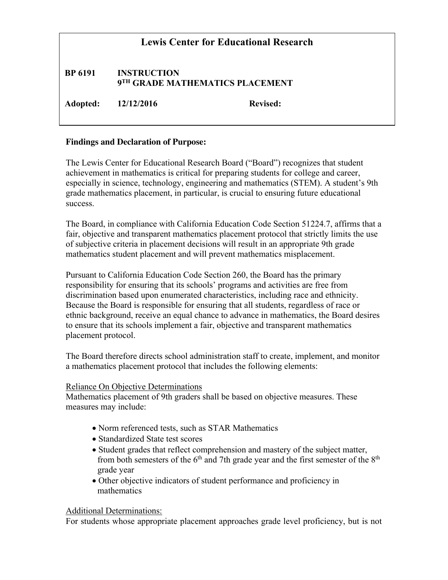| <b>Lewis Center for Educational Research</b> |                                                       |                 |
|----------------------------------------------|-------------------------------------------------------|-----------------|
| <b>BP 6191</b>                               | <b>INSTRUCTION</b><br>9TH GRADE MATHEMATICS PLACEMENT |                 |
| Adopted: 12/12/2016                          |                                                       | <b>Revised:</b> |

### **Findings and Declaration of Purpose:**

The Lewis Center for Educational Research Board ("Board") recognizes that student achievement in mathematics is critical for preparing students for college and career, especially in science, technology, engineering and mathematics (STEM). A student's 9th grade mathematics placement, in particular, is crucial to ensuring future educational success.

The Board, in compliance with California Education Code Section 51224.7, affirms that a fair, objective and transparent mathematics placement protocol that strictly limits the use of subjective criteria in placement decisions will result in an appropriate 9th grade mathematics student placement and will prevent mathematics misplacement.

Pursuant to California Education Code Section 260, the Board has the primary responsibility for ensuring that its schools' programs and activities are free from discrimination based upon enumerated characteristics, including race and ethnicity. Because the Board is responsible for ensuring that all students, regardless of race or ethnic background, receive an equal chance to advance in mathematics, the Board desires to ensure that its schools implement a fair, objective and transparent mathematics placement protocol.

The Board therefore directs school administration staff to create, implement, and monitor a mathematics placement protocol that includes the following elements:

### Reliance On Objective Determinations

Mathematics placement of 9th graders shall be based on objective measures. These measures may include:

- Norm referenced tests, such as STAR Mathematics
- Standardized State test scores
- Student grades that reflect comprehension and mastery of the subject matter, from both semesters of the  $6<sup>th</sup>$  and 7th grade year and the first semester of the  $8<sup>th</sup>$ grade year
- Other objective indicators of student performance and proficiency in mathematics

### Additional Determinations:

For students whose appropriate placement approaches grade level proficiency, but is not